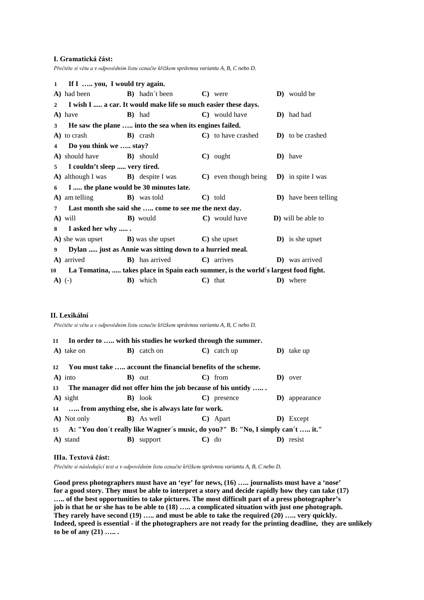### **I. Gramatická část:**

*Přečtěte si větu a v odpovědním listu označte křížkem správnou variantu A, B, C nebo D.*

|                | 1 If I  you, I would try again.            |                                                                                    |                                                        |                              |
|----------------|--------------------------------------------|------------------------------------------------------------------------------------|--------------------------------------------------------|------------------------------|
|                |                                            | A) had been <b>B</b> ) hadn't been <b>C</b> ) were                                 |                                                        | <b>D</b> ) would be          |
| $\mathbf{2}$   |                                            | I wish I  a car. It would make life so much easier these days.                     |                                                        |                              |
|                | A) have                                    | <b>B</b> ) had                                                                     | C) would have                                          | <b>D</b> ) had had           |
| 3              |                                            | He saw the plane  into the sea when its engines failed.                            |                                                        |                              |
|                | A) to crash                                | <b>B</b> ) crash                                                                   | C) to have crashed                                     | <b>D</b> ) to be crashed     |
| $\overline{4}$ | Do you think we  stay?                     |                                                                                    |                                                        |                              |
|                | A) should have <b>B</b> ) should           |                                                                                    | $\mathbf{C}$ ) ought                                   | D) have                      |
| 5              | I couldn't sleep  very tired.              |                                                                                    |                                                        |                              |
|                | A) although I was <b>B</b> ) despite I was |                                                                                    | $\bf{C}$ ) even though being $\bf{D}$ ) in spite I was |                              |
| 6              | I  the plane would be 30 minutes late.     |                                                                                    |                                                        |                              |
|                | <b>A</b> ) am telling <b>B</b> ) was told  |                                                                                    | $\mathbf{C}$ ) told                                    | <b>D</b> ) have been telling |
| $\overline{7}$ |                                            | Last month she said she  come to see me the next day.                              |                                                        |                              |
|                | A) will                                    | <b>B</b> ) would                                                                   | C) would have                                          | <b>D</b> ) will be able to   |
| 8              | I asked her why                            |                                                                                    |                                                        |                              |
|                |                                            | $\bf{A}$ ) she was upset $\bf{B}$ ) was she upset $\bf{C}$ ) she upset             |                                                        | <b>D</b> ) is she upset      |
| 9              |                                            | Dylan  just as Annie was sitting down to a hurried meal.                           |                                                        |                              |
|                | <b>A</b> ) arrived <b>B</b> ) has arrived  |                                                                                    | $\mathbf{C}$ arrives                                   | <b>D</b> ) was arrived       |
| 10 —           |                                            | La Tomatina,  takes place in Spain each summer, is the world's largest food fight. |                                                        |                              |
|                | $A)$ (-)                                   | <b>B</b> ) which                                                                   | $\mathbf{C}$ ) that                                    | <b>D</b> ) where             |

# **II. Lexikální**

*Přečtěte si větu a v odpovědním listu označte křížkem správnou variantu A, B, C nebo D.*

|    | 11 In order to  with his studies he worked through the summer.                     |          |                     |  |                       |    |                    |  |  |  |
|----|------------------------------------------------------------------------------------|----------|---------------------|--|-----------------------|----|--------------------|--|--|--|
|    | A) take on                                                                         |          | <b>B</b> ) catch on |  | $\mathbf{C}$ catch up |    | $\bf{D}$ ) take up |  |  |  |
| 12 | You must take  account the financial benefits of the scheme.                       |          |                     |  |                       |    |                    |  |  |  |
|    | $\bf{A})$ into                                                                     |          | <b>B</b> ) out      |  | $\mathbf{C}$ from     |    | D) over            |  |  |  |
| 13 | The manager did not offer him the job because of his untidy                        |          |                     |  |                       |    |                    |  |  |  |
|    | A) sight                                                                           |          | <b>B</b> ) look     |  | C) presence           | D) | appearance         |  |  |  |
|    | 14  from anything else, she is always late for work.                               |          |                     |  |                       |    |                    |  |  |  |
|    | A) Not only                                                                        |          | <b>B</b> ) As well  |  | $\mathbf{C}$ ) Apart  |    | D) Except          |  |  |  |
|    | 15 A: "You don't really like Wagner's music, do you?" B: "No, I simply can't  it." |          |                     |  |                       |    |                    |  |  |  |
|    | A) stand                                                                           | $\bf{B}$ | support             |  | $\mathbf{C}$ do       |    | D) resist          |  |  |  |

#### **IIIa. Textová část:**

*Přečtěte si následující text a v odpovědním listu označte křížkem správnou variantu A, B, C nebo D.*

**Good press photographers must have an 'eye' for news, (16) ….. journalists must have a 'nose' for a good story. They must be able to interpret a story and decide rapidly how they can take (17) ….. of the best opportunities to take pictures. The most difficult part of a press photographer's job is that he or she has to be able to (18) ….. a complicated situation with just one photograph. They rarely have second (19) ….. and must be able to take the required (20) ….. very quickly. Indeed, speed is essential - if the photographers are not ready for the printing deadline, they are unlikely to be of any (21) ….. .**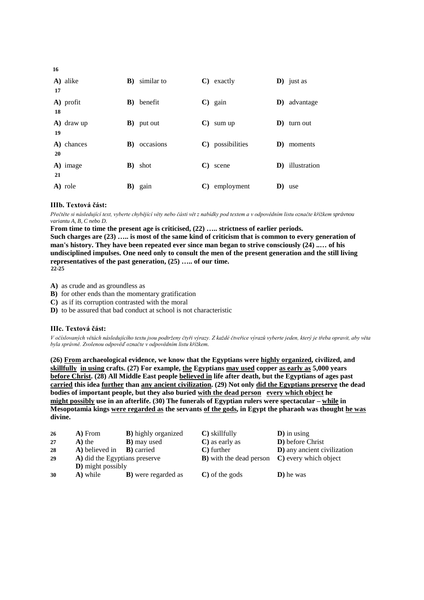| 17 | A) alike   |            | <b>B</b> ) similar to |              | $\mathbf{C}$ ) exactly    |    | $\bf{D})$ just as       |
|----|------------|------------|-----------------------|--------------|---------------------------|----|-------------------------|
| 18 | A) profit  |            | <b>B</b> ) benefit    |              | $\mathbf{C}$ ) gain       |    | <b>D</b> ) advantage    |
| 19 | A) draw up |            | <b>B</b> ) put out    | $\mathbf{C}$ | sum up                    | D) | turn out                |
| 20 | A) chances | $\bf{B}$ ) | occasions             |              | C) possibilities          |    | D) moments              |
| 21 | A) image   |            | <b>B</b> ) shot       | $\mathbf{C}$ | scene                     |    | <b>D</b> ) illustration |
|    | A) role    |            | <b>B</b> ) gain       |              | $\mathbf{C}$ ) employment |    | D) use                  |

# **IIIb. Textová část:**

*Přečtěte si následující text, vyberte chybějící věty nebo části vět z nabídky pod textem a v odpovědním listu označte křížkem správnou variantu A, B, C nebo D.*

**From time to time the present age is criticised, (22) ….. strictness of earlier periods.** 

**Such charges are (23) ….. is most of the same kind of criticism that is common to every generation of man's history. They have been repeated ever since man began to strive consciously (24) ..… of his undisciplined impulses. One need only to consult the men of the present generation and the still living representatives of the past generation, (25) ….. of our time. 22-25**

**A)** as crude and as groundless as

**B)** for other ends than the momentary gratification

**C)** as if its corruption contrasted with the moral

**D)** to be assured that bad conduct at school is not characteristic

# **IIIc. Textová část:**

*V očíslovaných větách následujícího textu jsou podtrženy čtyři výrazy. Z každé čtveřice výrazů vyberte jeden, který je třeba opravit, aby věta byla správně. Zvolenou odpověď označte v odpovědním listu křížkem.*

**(26) From archaeological evidence, we know that the Egyptians were highly organized, civilized, and skillfully in using crafts. (27) For example, the Egyptians may used copper as early as 5,000 years before Christ. (28) All Middle East people believed in life after death, but the Egyptians of ages past carried this idea further than any ancient civilization. (29) Not only did the Egyptians preserve the dead bodies of important people, but they also buried with the dead person every which object he might possibly use in an afterlife. (30) The funerals of Egyptian rulers were spectacular – while in Mesopotamia kings were regarded as the servants of the gods, in Egypt the pharaoh was thought he was divine.**

| D) before Christ                                              |
|---------------------------------------------------------------|
| D) any ancient civilization                                   |
| <b>B</b> ) with the dead person <b>C</b> ) every which object |
|                                                               |
|                                                               |
|                                                               |

**16**